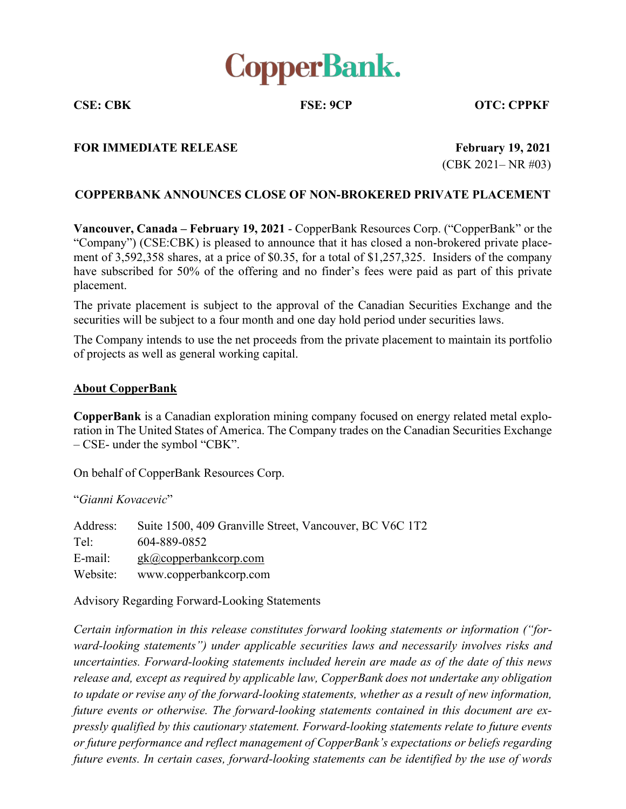

**CSE: CBK FSE: 9CP OTC: CPPKF**

## **FOR IMMEDIATE RELEASE February 19, 2021**

**(CBK 2021– NR #03)** 

## **COPPERBANK ANNOUNCES CLOSE OF NON-BROKERED PRIVATE PLACEMENT**

**Vancouver, Canada – February 19, 2021 - CopperBank Resources Corp. ("CopperBank" or the** ³Company´) (CSE:CBK) is pleased to announce that it has closed a non-brokered private placement of 3,592,358 shares, at a price of \$0.35, for a total of \$1,257,325. Insiders of the company have subscribed for 50% of the offering and no finder's fees were paid as part of this private placement.

The private placement is subject to the approval of the Canadian Securities Exchange and the securities will be subject to a four month and one day hold period under securities laws.

The Company intends to use the net proceeds from the private placement to maintain its portfolio of projects as well as general working capital.

## **About CopperBank**

**CopperBank** is a Canadian exploration mining company focused on energy related metal exploration in The United States of America. The Company trades on the Canadian Securities Exchange  $-$  CSE- under the symbol "CBK".

On behalf of CopperBank Resources Corp.

³*Gianni Kovacevic*´

Address: Suite 1500, 409 Granville Street, Vancouver, BC V6C 1T2 Tel: 604-889-0852 E-mail: gk@copperbankcorp.com Website: www.copperbankcorp.com

Advisory Regarding Forward-Looking Statements

*Certain information in this release constitutes forward looking statements or information ("forward-looking statements*") *under applicable securities laws and necessarily involves risks and uncertainties. Forward-looking statements included herein are made as of the date of this news release and, except as required by applicable law, CopperBank does not undertake any obligation to update or revise any of the forward-looking statements, whether as a result of new information, future events or otherwise. The forward-looking statements contained in this document are expressly qualified by this cautionary statement. Forward-looking statements relate to future events or* future performance and reflect management of CopperBank's expectations or beliefs regarding *future events. In certain cases, forward-looking statements can be identified by the use of words*